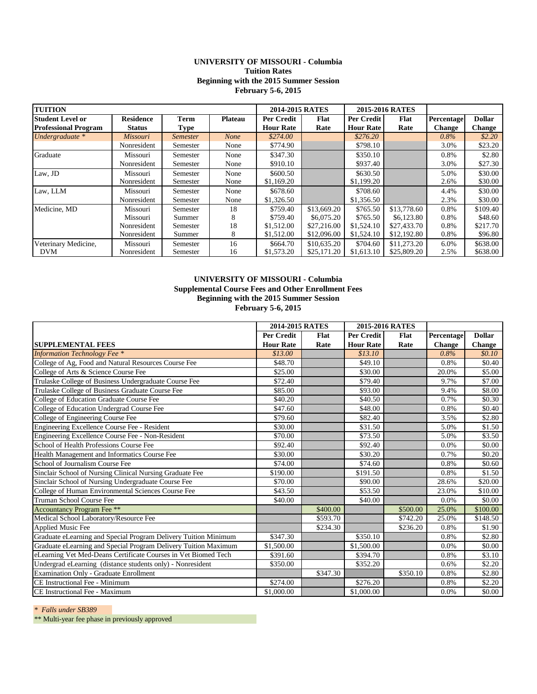## **UNIVERSITY OF MISSOURI - Columbia Tuition Rates Beginning with the 2015 Summer Session February 5-6, 2015**

| <b>TUITION</b>              |                  |                 |                | 2014-2015 RATES   |             | 2015-2016 RATES  |             |               |               |
|-----------------------------|------------------|-----------------|----------------|-------------------|-------------|------------------|-------------|---------------|---------------|
| <b>Student Level or</b>     | <b>Residence</b> | <b>Term</b>     | <b>Plateau</b> | <b>Per Credit</b> | Flat        | Per Credit       | Flat        | Percentage    | <b>Dollar</b> |
| <b>Professional Program</b> | <b>Status</b>    | <b>Type</b>     |                | <b>Hour Rate</b>  | Rate        | <b>Hour Rate</b> | Rate        | <b>Change</b> | <b>Change</b> |
| Undergraduate *             | Missouri         | <b>Semester</b> | <b>None</b>    | \$274.00          |             | \$276.20         |             | 0.8%          | \$2.20        |
|                             | Nonresident      | Semester        | None           | \$774.90          |             | \$798.10         |             | 3.0%          | \$23.20       |
| Graduate                    | Missouri         | Semester        | None           | \$347.30          |             | \$350.10         |             | 0.8%          | \$2.80        |
|                             | Nonresident      | Semester        | None           | \$910.10          |             | \$937.40         |             | 3.0%          | \$27.30       |
| Law, JD                     | Missouri         | Semester        | None           | \$600.50          |             | \$630.50         |             | 5.0%          | \$30.00       |
|                             | Nonresident      | Semester        | None           | \$1,169.20        |             | \$1,199.20       |             | 2.6%          | \$30.00       |
| Law, LLM                    | Missouri         | Semester        | None           | \$678.60          |             | \$708.60         |             | 4.4%          | \$30.00       |
|                             | Nonresident      | Semester        | None           | \$1,326.50        |             | \$1,356.50       |             | 2.3%          | \$30.00       |
| Medicine, MD                | Missouri         | Semester        | 18             | \$759.40          | \$13,669.20 | \$765.50         | \$13,778.60 | 0.8%          | \$109.40      |
|                             | Missouri         | Summer          | 8              | \$759.40          | \$6,075.20  | \$765.50         | \$6,123.80  | 0.8%          | \$48.60       |
|                             | Nonresident      | Semester        | 18             | \$1,512.00        | \$27,216.00 | \$1,524.10       | \$27,433.70 | 0.8%          | \$217.70      |
|                             | Nonresident      | Summer          | 8              | \$1,512.00        | \$12,096.00 | \$1,524.10       | \$12,192.80 | 0.8%          | \$96.80       |
| Veterinary Medicine,        | Missouri         | Semester        | 16             | \$664.70          | \$10,635.20 | \$704.60         | \$11,273.20 | 6.0%          | \$638.00      |
| <b>DVM</b>                  | Nonresident      | Semester        | 16             | \$1,573.20        | \$25,171.20 | \$1,613.10       | \$25,809.20 | 2.5%          | \$638.00      |

## **UNIVERSITY OF MISSOURI - Columbia Supplemental Course Fees and Other Enrollment Fees Beginning with the 2015 Summer Session February 5-6, 2015**

|                                                                 | 2014-2015 RATES   |             |                  | 2015-2016 RATES |               |               |
|-----------------------------------------------------------------|-------------------|-------------|------------------|-----------------|---------------|---------------|
|                                                                 | <b>Per Credit</b> | <b>Flat</b> | Per Credit       | Flat            | Percentage    | <b>Dollar</b> |
| <b>SUPPLEMENTAL FEES</b>                                        | <b>Hour Rate</b>  | Rate        | <b>Hour Rate</b> | Rate            | <b>Change</b> | <b>Change</b> |
| <b>Information Technology Fee *</b>                             | \$13.00           |             | \$13.10          |                 | 0.8%          | \$0.10\$      |
| College of Ag, Food and Natural Resources Course Fee            | \$48.70           |             | \$49.10          |                 | 0.8%          | \$0.40        |
| College of Arts & Science Course Fee                            | \$25.00           |             | \$30.00          |                 | 20.0%         | \$5.00        |
| Trulaske College of Business Undergraduate Course Fee           | \$72.40           |             | \$79.40          |                 | 9.7%          | \$7.00        |
| Trulaske College of Business Graduate Course Fee                | \$85.00           |             | \$93.00          |                 | 9.4%          | \$8.00        |
| College of Education Graduate Course Fee                        | \$40.20           |             | \$40.50          |                 | 0.7%          | \$0.30        |
| College of Education Undergrad Course Fee                       | \$47.60           |             | \$48.00          |                 | 0.8%          | \$0.40        |
| College of Engineering Course Fee                               | \$79.60           |             | \$82.40          |                 | 3.5%          | \$2.80        |
| Engineering Excellence Course Fee - Resident                    |                   |             | \$31.50          |                 | 5.0%          | \$1.50        |
| Engineering Excellence Course Fee - Non-Resident                | \$70.00           |             | \$73.50          |                 | 5.0%          | \$3.50        |
| School of Health Professions Course Fee                         | \$92.40           |             | \$92.40          |                 | 0.0%          | \$0.00        |
| Health Management and Informatics Course Fee                    | \$30.00           |             | \$30.20          |                 | 0.7%          | \$0.20        |
| School of Journalism Course Fee                                 | \$74.00           |             | \$74.60          |                 | 0.8%          | \$0.60        |
| Sinclair School of Nursing Clinical Nursing Graduate Fee        | \$190.00          |             | \$191.50         |                 | 0.8%          | \$1.50        |
| Sinclair School of Nursing Undergraduate Course Fee             | \$70.00           |             | \$90.00          |                 | 28.6%         | \$20.00       |
| College of Human Environmental Sciences Course Fee              | \$43.50           |             | \$53.50          |                 | 23.0%         | \$10.00       |
| Truman School Course Fee                                        | \$40.00           |             | \$40.00          |                 | 0.0%          | \$0.00        |
| Accountancy Program Fee **                                      |                   | \$400.00    |                  | \$500.00        | 25.0%         | \$100.00      |
| Medical School Laboratory/Resource Fee                          |                   | \$593.70    |                  | \$742.20        | 25.0%         | \$148.50      |
| <b>Applied Music Fee</b>                                        |                   | \$234.30    |                  | \$236.20        | 0.8%          | \$1.90        |
| Graduate eLearning and Special Program Delivery Tuition Minimum | \$347.30          |             | \$350.10         |                 | 0.8%          | \$2.80        |
| Graduate eLearning and Special Program Delivery Tuition Maximum | \$1,500.00        |             | \$1,500.00       |                 | 0.0%          | \$0.00        |
| eLearning Vet Med-Deans Certificate Courses in Vet Biomed Tech  | \$391.60          |             | \$394.70         |                 | 0.8%          | \$3.10        |
| Undergrad eLearning (distance students only) - Nonresident      | \$350.00          |             | \$352.20         |                 | 0.6%          | \$2.20        |
| Examination Only - Graduate Enrollment                          |                   | \$347.30    |                  | \$350.10        | 0.8%          | \$2.80        |
| CE Instructional Fee - Minimum                                  | \$274.00          |             | \$276.20         |                 | 0.8%          | \$2.20        |
| CE Instructional Fee - Maximum                                  | \$1,000.00        |             | \$1,000.00       |                 | 0.0%          | \$0.00        |

*\* Falls under SB389* 

\*\* Multi-year fee phase in previously approved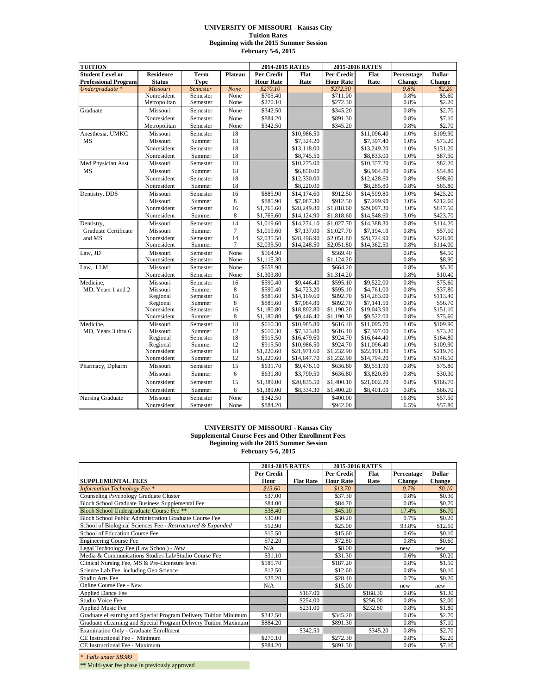#### **UNIVERSITY OF MISSOURI - Kansas City Tuition Rates Beginning with the 2015 Summer Session February 5-6, 2015**

|                             | <b>TUITION</b>       |                    | 2014-2015 RATES |                      |                            | 2015-2016 RATES      |                            |              |                      |
|-----------------------------|----------------------|--------------------|-----------------|----------------------|----------------------------|----------------------|----------------------------|--------------|----------------------|
| <b>Student Level or</b>     | <b>Residence</b>     | Term               | Plateau         | Per Credit           | Flat                       | Per Credit           | Flat                       | Percentage   | <b>Dollar</b>        |
| <b>Professional Program</b> | <b>Status</b>        | <b>Type</b>        |                 | <b>Hour Rate</b>     | Rate                       | <b>Hour Rate</b>     | Rate                       | Change       | <b>Change</b>        |
| Undergraduate *             | <b>Missouri</b>      | <b>Semester</b>    | None            | \$270.10             |                            | \$272.30             |                            | 0.8%         | \$2.20               |
|                             | Nonresident          | Semester           | None            | \$705.40             |                            | \$711.00             |                            | 0.8%         | \$5.60               |
|                             | Metropolitan         | Semester           | None            | \$270.10             |                            | \$272.30             |                            | 0.8%         | \$2.20               |
| Graduate                    | Missouri             | Semester           | None            | \$342.50             |                            | \$345.20             |                            | 0.8%         | \$2.70               |
|                             | Nonresident          | Semester           | None            | \$884.20             |                            | \$891.30             |                            | 0.8%         | \$7.10               |
|                             | Metropolitan         | Semester           | None            | \$342.50             |                            | \$345.20             |                            | 0.8%         | \$2.70               |
| Anesthesia, UMKC            | Missouri             | Semester           | 18              |                      | \$10,986.50                |                      | \$11,096.40                | 1.0%         | \$109.90             |
| <b>MS</b>                   | Missouri             | Summer             | 18              |                      | \$7,324.20                 |                      | \$7,397.40                 | 1.0%         | \$73.20              |
|                             | Nonresident          | Semester           | 18              |                      | \$13,118.00                |                      | \$13,249.20                | 1.0%         | \$131.20             |
|                             | Nonresident          | Summer             | 18              |                      | \$8,745.50                 |                      | \$8,833.00                 | 1.0%         | \$87.50              |
| Med Physician Asst          | Missouri             | Semester           | 18              |                      | \$10,275.00                |                      | \$10,357.20                | 0.8%         | \$82.20              |
| <b>MS</b>                   | Missouri             | Summer             | 18              |                      | \$6,850.00                 |                      | \$6,904.80                 | 0.8%         | \$54.80              |
|                             | Nonresident          | Semester           | 18              |                      | \$12,330.00                |                      | \$12,428.60                | 0.8%         | \$98.60              |
|                             | Nonresident          | Summer             | 18              |                      | \$8,220.00                 |                      | \$8,285.80                 | 0.8%         | \$65.80              |
| Dentistry, DDS              | Missouri             | Semester           | 16              | \$885.90             | \$14,174.60                | \$912.50             | \$14,599.80                | 3.0%         | \$425.20             |
|                             | Missouri             | Summer             | 8               | \$885.90             | \$7,087.30                 | \$912.50             | \$7,299.90                 | 3.0%         | \$212.60             |
|                             | Nonresident          | Semester           | 16              | \$1,765.60           | \$28,249.80                | \$1,818.60           | \$29,097.30                | 3.0%         | \$847.50             |
|                             | Nonresident          | Summer             | 8               | \$1,765.60           | \$14,124.90                | \$1,818.60           | \$14,548.60                | 3.0%         | \$423.70             |
| Dentistry,                  | Missouri             | Semester           | $\overline{14}$ | \$1,019.60           | \$14,274.10                | \$1,027.70           | \$14,388.30                | 0.8%         | \$114.20             |
| Graduate Certificate        | Missouri             | Summer             | $\overline{7}$  | \$1,019.60           | \$7,137.00                 | \$1,027.70           | \$7,194.10                 | 0.8%         | \$57.10              |
| and MS                      | Nonresident          | Semester           | 14              | \$2,035.50           | \$28,496.90                | \$2,051.80           | \$28,724.90                | 0.8%         | \$228.00             |
|                             | Nonresident          | Summer             | $\overline{7}$  | \$2,035.50           | \$14,248.50                | \$2,051.80           | \$14,362.50                | 0.8%         | \$114.00             |
| Law, JD                     | Missouri             | Semester           | None            | \$564.90             |                            | \$569.40             |                            | 0.8%         | \$4.50               |
|                             | Nonresident          | Semester           | None            | \$1,115.30           |                            | \$1,124.20           |                            | 0.8%         | \$8.90               |
| Law, LLM                    | Missouri             | Semester           | None            | \$658.90             |                            | \$664.20             |                            | 0.8%         | \$5.30               |
|                             | Nonresident          | Semester           | None            | \$1,303.80           |                            | \$1,314.20           |                            | 0.8%         | \$10.40              |
| Medicine,                   | Missouri             | Semester           | 16              | \$590.40             | \$9,446.40                 | \$595.10             | \$9,522.00                 | 0.8%         | \$75.60              |
| MD, Years 1 and 2           | Missouri             | Summer             | 8               | \$590.40             | \$4,723.20                 | \$595.10             | \$4,761.00                 | 0.8%         | \$37.80              |
|                             | Regional             | Semester           | 16              | \$885.60             | \$14,169.60                | \$892.70             | \$14,283.00                | 0.8%         | \$113.40             |
|                             | Regional             | Summer             | 8               | \$885.60             | \$7,084.80                 | \$892.70             | \$7,141.50                 | 0.8%         | \$56.70              |
|                             | Nonresident          | Semester           | 16              | \$1,180.80           | \$18,892.80                | \$1,190.20           | \$19,043.90                | 0.8%         | \$151.10             |
|                             | Nonresident          | Summer             | 8               | \$1,180.80           | \$9,446.40                 | \$1,190.30           | \$9,522.00                 | 0.8%         | \$75.60              |
| Medicine.                   | Missouri             | Semester           | 18              | \$610.30             | \$10,985.80                | \$616.40             | \$11,095.70                | 1.0%         | \$109.90             |
| MD, Years 3 thru 6          | Missouri             | Summer<br>Semester | 12              | \$610.30             | \$7,323.80                 | \$616.40             | \$7,397.00                 | 1.0%         | \$73.20              |
|                             | Regional<br>Regional | Summer             | 18<br>12        | \$915.50<br>\$915.50 | \$16,479.60<br>\$10,986.50 | \$924.70<br>\$924.70 | \$16,644.40<br>\$11,096.40 | 1.0%<br>1.0% | \$164.80<br>\$109.90 |
|                             | Nonresident          | Semester           | 18              | \$1,220.60           | \$21,971.60                | \$1,232.90           | \$22,191.30                | 1.0%         | \$219.70             |
|                             | Nonresident          | Summer             | 12              | \$1,220.60           | \$14,647.70                | \$1,232.90           | \$14,794.20                | 1.0%         | \$146.50             |
| Pharmacy, Dpharm            | Missouri             | Semester           | 15              | \$631.70             | \$9,476.10                 | \$636.80             | \$9,551.90                 | 0.8%         | \$75.80              |
|                             | Missouri             |                    | 6               |                      |                            |                      |                            | 0.8%         | \$30.30              |
|                             |                      | Summer             |                 | \$631.80             | \$3,790.50                 | \$636.80             | \$3,820.80                 |              |                      |
|                             | Nonresident          | Semester           | 15              | \$1,389.00           | \$20,835.50                | \$1,400.10           | \$21,002.20                | 0.8%         | \$166.70             |
|                             | Nonresident          | Summer             | 6               | \$1,389.00           | \$8,334.30                 | \$1,400.20           | \$8,401.00                 | 0.8%         | \$66.70              |
| <b>Nursing Graduate</b>     | Missouri             | Semester           | None            | \$342.50             |                            | \$400.00             |                            | 16.8%        | \$57.50              |
|                             | Nonresident          | Semester           | None            | \$884.20             |                            | \$942.00             |                            | 6.5%         | \$57.80              |

### **UNIVERSITY OF MISSOURI - Kansas City Supplemental Course Fees and Other Enrollment Fees Beginning with the 2015 Summer Session February 5-6, 2015**

|                                                                 | 2014-2015 RATES |                  |                  | 2015-2016 RATES |               |               |
|-----------------------------------------------------------------|-----------------|------------------|------------------|-----------------|---------------|---------------|
|                                                                 | Per Credit      |                  | Per Credit       | Flat            | Percentage    | <b>Dollar</b> |
| <b>SUPPLEMENTAL FEES</b>                                        | Hour            | <b>Flat Rate</b> | <b>Hour Rate</b> | Rate            | <b>Change</b> | <b>Change</b> |
| <b>Information Technology Fee *</b>                             | \$13.60         |                  | \$13.70          |                 | 0.7%          | \$0.10\$      |
| Counseling Psychology Graduate Cluster                          | \$37.00         |                  | \$37.30          |                 | 0.8%          | \$0.30        |
| Bloch School Graduate Business Supplemental Fee                 | \$84.00         |                  | \$84.70          |                 | 0.8%          | \$0.70        |
| Bloch School Undergraduate Course Fee **                        | \$38.40         |                  | \$45.10          |                 | 17.4%         | \$6.70        |
| Bloch School Public Administration Graduate Course Fee          | \$30.00         |                  | \$30.20          |                 | 0.7%          | \$0.20        |
| School of Biological Sciences Fee - Restructured & Expanded     | \$12.90         |                  | \$25.00          |                 | 93.8%         | \$12.10       |
| School of Education Course Fee                                  | \$15.50         |                  | \$15.60          |                 | 0.6%          | \$0.10        |
| <b>Engineering Course Fee</b>                                   | \$72.20         |                  | \$72.80          |                 | 0.8%          | \$0.60        |
| Legal Technology Fee (Law School) - New                         | N/A             |                  | \$8.00           |                 | new           | new           |
| Media & Communications Studies Lab/Studio Course Fee            | \$31.10         |                  | \$31.30          |                 | 0.6%          | \$0.20        |
| Clinical Nursing Fee, MS & Pre-Licensure level                  | \$185.70        |                  | \$187.20         |                 | 0.8%          | \$1.50        |
| Science Lab Fee, including Geo Science                          | \$12.50         |                  | \$12.60          |                 | 0.8%          | \$0.10        |
| Studio Arts Fee                                                 | \$28.20         |                  | \$28.40          |                 | 0.7%          | \$0.20        |
| Online Course Fee - New                                         | N/A             |                  | \$15.00          |                 | new           | new           |
| <b>Applied Dance Fee</b>                                        |                 | \$167.00         |                  | \$168.30        | 0.8%          | \$1.30        |
| Studio Voice Fee                                                |                 | \$254.00         |                  | \$256.00        | 0.8%          | \$2.00        |
| <b>Applied Music Fee</b>                                        |                 | \$231.00         |                  | \$232.80        | 0.8%          | \$1.80        |
| Graduate eLearning and Special Program Delivery Tuition Minimum | \$342.50        |                  | \$345.20         |                 | 0.8%          | \$2.70        |
| Graduate eLearning and Special Program Delivery Tuition Maximum | \$884.20        |                  | \$891.30         |                 | 0.8%          | \$7.10        |
| <b>Examination Only - Graduate Enrollment</b>                   |                 | \$342.50         |                  | \$345.20        | 0.8%          | \$2.70        |
| CE Instructional Fee - Minimum                                  | \$270.10        |                  | \$272.30         |                 | 0.8%          | \$2.20        |
| CE Instructional Fee - Maximum                                  | \$884.20        |                  | \$891.30         |                 | 0.8%          | \$7.10        |

*\* Falls under SB389* 

\*\* Multi-year fee phase in previously approved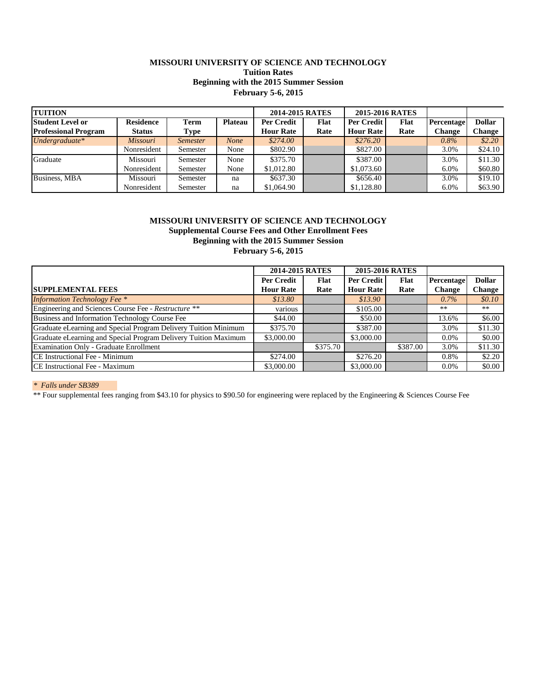# **MISSOURI UNIVERSITY OF SCIENCE AND TECHNOLOGY Tuition Rates Beginning with the 2015 Summer Session February 5-6, 2015**

| <b>TUITION</b>              |                  |                 |                | 2014-2015 RATES   |      | 2015-2016 RATES  |      |            |               |
|-----------------------------|------------------|-----------------|----------------|-------------------|------|------------------|------|------------|---------------|
| <b>Student Level or</b>     | <b>Residence</b> | Term            | <b>Plateau</b> | <b>Per Credit</b> | Flat | Per Credit       | Flat | Percentage | <b>Dollar</b> |
| <b>Professional Program</b> | <b>Status</b>    | Type            |                | <b>Hour Rate</b>  | Rate | <b>Hour Rate</b> | Rate | Change     | Change        |
| Undergraduate*              | <b>Missouri</b>  | <i>Semester</i> | <b>None</b>    | \$274.00          |      | \$276.20         |      | 0.8%       | \$2.20        |
|                             | Nonresident      | Semester        | None           | \$802.90          |      | \$827.00         |      | 3.0%       | \$24.10       |
| Graduate                    | Missouri         | Semester        | None           | \$375.70          |      | \$387.00         |      | 3.0%       | \$11.30       |
|                             | Nonresident      | Semester        | None           | \$1,012.80        |      | \$1,073.60       |      | 6.0%       | \$60.80       |
| <b>Business, MBA</b>        | Missouri         | Semester        | na             | \$637.30          |      | \$656.40         |      | 3.0%       | \$19.10       |
|                             | Nonresident      | Semester        | na             | \$1,064.90        |      | \$1,128.80       |      | 6.0%       | \$63.90       |

## **Beginning with the 2015 Summer Session Supplemental Course Fees and Other Enrollment Fees MISSOURI UNIVERSITY OF SCIENCE AND TECHNOLOGY February 5-6, 2015**

|                                                                 | 2014-2015 RATES   |             |                  | 2015-2016 RATES |               |               |
|-----------------------------------------------------------------|-------------------|-------------|------------------|-----------------|---------------|---------------|
|                                                                 | <b>Per Credit</b> | <b>Flat</b> | Per Credit       | <b>Flat</b>     | Percentage    | <b>Dollar</b> |
| <b>SUPPLEMENTAL FEES</b>                                        | <b>Hour Rate</b>  | Rate        | <b>Hour Rate</b> | Rate            | <b>Change</b> | <b>Change</b> |
| <b>Information Technology Fee *</b>                             | \$13.80           |             | \$13.90          |                 | $0.7\%$       | \$0.10\$      |
| Engineering and Sciences Course Fee - Restructure **            | various           |             | \$105.00         |                 | **            | **            |
| Business and Information Technology Course Fee                  | \$44.00           |             | \$50.00          |                 | 13.6%         | \$6.00        |
| Graduate eLearning and Special Program Delivery Tuition Minimum | \$375.70          |             | \$387.00         |                 | 3.0%          | \$11.30       |
| Graduate eLearning and Special Program Delivery Tuition Maximum | \$3,000.00        |             | \$3,000.00       |                 | $0.0\%$       | \$0.00        |
| Examination Only - Graduate Enrollment                          |                   | \$375.70    |                  | \$387.00        | 3.0%          | \$11.30       |
| CE Instructional Fee - Minimum                                  | \$274.00          |             | \$276.20         |                 | 0.8%          | \$2.20        |
| CE Instructional Fee - Maximum                                  | \$3,000.00        |             | \$3,000.00       |                 | $0.0\%$       | \$0.00        |

*\* Falls under SB389* 

\*\* Four supplemental fees ranging from \$43.10 for physics to \$90.50 for engineering were replaced by the Engineering & Sciences Course Fee